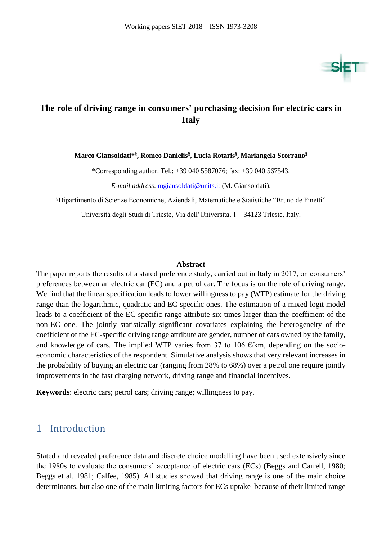

## **The role of driving range in consumers' purchasing decision for electric cars in Italy**

**Marco Giansoldati\* § , Romeo Danielis§ , Lucia Rotaris § , Mariangela Scorrano§**

\*Corresponding author. Tel.: +39 040 5587076; fax: +39 040 567543.

*E-mail address*: [mgiansoldati@units.it](mailto:mgiansoldati@units.it) (M. Giansoldati).

§Dipartimento di Scienze Economiche, Aziendali, Matematiche e Statistiche "Bruno de Finetti"

Università degli Studi di Trieste, Via dell'Università, 1 – 34123 Trieste, Italy.

#### **Abstract**

The paper reports the results of a stated preference study, carried out in Italy in 2017, on consumers' preferences between an electric car (EC) and a petrol car. The focus is on the role of driving range. We find that the linear specification leads to lower willingness to pay (WTP) estimate for the driving range than the logarithmic, quadratic and EC-specific ones. The estimation of a mixed logit model leads to a coefficient of the EC-specific range attribute six times larger than the coefficient of the non-EC one. The jointly statistically significant covariates explaining the heterogeneity of the coefficient of the EC-specific driving range attribute are gender, number of cars owned by the family, and knowledge of cars. The implied WTP varies from 37 to 106  $\epsilon/km$ , depending on the socioeconomic characteristics of the respondent. Simulative analysis shows that very relevant increases in the probability of buying an electric car (ranging from 28% to 68%) over a petrol one require jointly improvements in the fast charging network, driving range and financial incentives.

**Keywords**: electric cars; petrol cars; driving range; willingness to pay.

### 1 Introduction

Stated and revealed preference data and discrete choice modelling have been used extensively since the 1980s to evaluate the consumers' acceptance of electric cars (ECs) (Beggs and Carrell, 1980; Beggs et al. 1981; Calfee, 1985). All studies showed that driving range is one of the main choice determinants, but also one of the main limiting factors for ECs uptake because of their limited range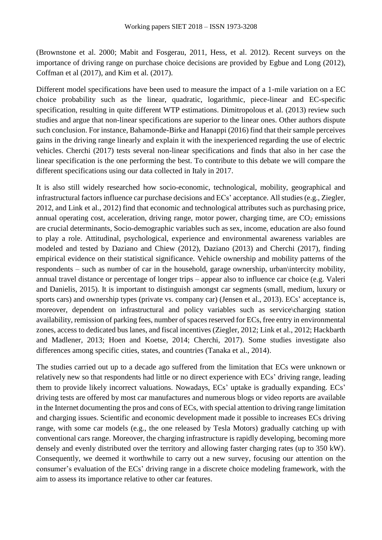(Brownstone et al. 2000; Mabit and Fosgerau, 2011, Hess, et al. 2012). Recent surveys on the importance of driving range on purchase choice decisions are provided by Egbue and Long (2012), Coffman et al (2017), and Kim et al. (2017).

Different model specifications have been used to measure the impact of a 1-mile variation on a EC choice probability such as the linear, quadratic, logarithmic, piece-linear and EC-specific specification, resulting in quite different WTP estimations. Dimitropolous et al. (2013) review such studies and argue that non-linear specifications are superior to the linear ones. Other authors dispute such conclusion. For instance, Bahamonde-Birke and Hanappi (2016) find that their sample perceives gains in the driving range linearly and explain it with the inexperienced regarding the use of electric vehicles. Cherchi (2017) tests several non-linear specifications and finds that also in her case the linear specification is the one performing the best. To contribute to this debate we will compare the different specifications using our data collected in Italy in 2017.

It is also still widely researched how socio-economic, technological, mobility, geographical and infrastructural factors influence car purchase decisions and ECs' acceptance. All studies (e.g., Ziegler, 2012, and Link et al., 2012) find that economic and technological attributes such as purchasing price, annual operating cost, acceleration, driving range, motor power, charging time, are  $CO<sub>2</sub>$  emissions are crucial determinants, Socio-demographic variables such as sex, income, education are also found to play a role. Attitudinal, psychological, experience and environmental awareness variables are modeled and tested by Daziano and Chiew (2012), Daziano (2013) and Cherchi (2017), finding empirical evidence on their statistical significance. Vehicle ownership and mobility patterns of the respondents – such as number of car in the household, garage ownership, urban\intercity mobility, annual travel distance or percentage of longer trips – appear also to influence car choice (e.g. Valeri and Danielis, 2015). It is important to distinguish amongst car segments (small, medium, luxury or sports cars) and ownership types (private vs. company car) (Jensen et al., 2013). ECs' acceptance is, moreover, dependent on infrastructural and policy variables such as service\charging station availability, remission of parking fees, number of spaces reserved for ECs, free entry in environmental zones, access to dedicated bus lanes, and fiscal incentives (Ziegler, 2012; Link et al., 2012; Hackbarth and Madlener, 2013; Hoen and Koetse, 2014; Cherchi, 2017). Some studies investigate also differences among specific cities, states, and countries (Tanaka et al., 2014).

The studies carried out up to a decade ago suffered from the limitation that ECs were unknown or relatively new so that respondents had little or no direct experience with ECs' driving range, leading them to provide likely incorrect valuations. Nowadays, ECs' uptake is gradually expanding. ECs' driving tests are offered by most car manufactures and numerous blogs or video reports are available in the Internet documenting the pros and cons of ECs, with special attention to driving range limitation and charging issues. Scientific and economic development made it possible to increases ECs driving range, with some car models (e.g., the one released by Tesla Motors) gradually catching up with conventional cars range. Moreover, the charging infrastructure is rapidly developing, becoming more densely and evenly distributed over the territory and allowing faster charging rates (up to 350 kW). Consequently, we deemed it worthwhile to carry out a new survey, focusing our attention on the consumer's evaluation of the ECs' driving range in a discrete choice modeling framework, with the aim to assess its importance relative to other car features.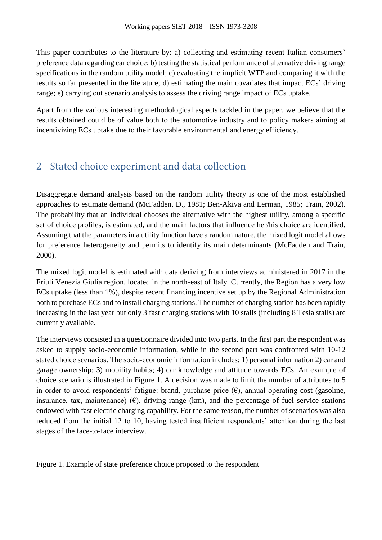This paper contributes to the literature by: a) collecting and estimating recent Italian consumers' preference data regarding car choice; b) testing the statistical performance of alternative driving range specifications in the random utility model; c) evaluating the implicit WTP and comparing it with the results so far presented in the literature; d) estimating the main covariates that impact ECs' driving range; e) carrying out scenario analysis to assess the driving range impact of ECs uptake.

Apart from the various interesting methodological aspects tackled in the paper, we believe that the results obtained could be of value both to the automotive industry and to policy makers aiming at incentivizing ECs uptake due to their favorable environmental and energy efficiency.

# 2 Stated choice experiment and data collection

Disaggregate demand analysis based on the random utility theory is one of the most established approaches to estimate demand (McFadden, D., 1981; Ben-Akiva and Lerman, 1985; Train, 2002). The probability that an individual chooses the alternative with the highest utility, among a specific set of choice profiles, is estimated, and the main factors that influence her/his choice are identified. Assuming that the parameters in a utility function have a random nature, the mixed logit model allows for preference heterogeneity and permits to identify its main determinants (McFadden and Train, 2000).

The mixed logit model is estimated with data deriving from interviews administered in 2017 in the Friuli Venezia Giulia region, located in the north-east of Italy. Currently, the Region has a very low ECs uptake (less than 1%), despite recent financing incentive set up by the Regional Administration both to purchase ECs and to install charging stations. The number of charging station has been rapidly increasing in the last year but only 3 fast charging stations with 10 stalls (including 8 Tesla stalls) are currently available.

The interviews consisted in a questionnaire divided into two parts. In the first part the respondent was asked to supply socio-economic information, while in the second part was confronted with 10-12 stated choice scenarios. The socio-economic information includes: 1) personal information 2) car and garage ownership; 3) mobility habits; 4) car knowledge and attitude towards ECs. An example of choice scenario is illustrated in [Figure 1.](#page-2-0) A decision was made to limit the number of attributes to 5 in order to avoid respondents' fatigue: brand, purchase price  $(\epsilon)$ , annual operating cost (gasoline, insurance, tax, maintenance) ( $\epsilon$ ), driving range (km), and the percentage of fuel service stations endowed with fast electric charging capability. For the same reason, the number of scenarios was also reduced from the initial 12 to 10, having tested insufficient respondents' attention during the last stages of the face-to-face interview.

<span id="page-2-0"></span>Figure 1. Example of state preference choice proposed to the respondent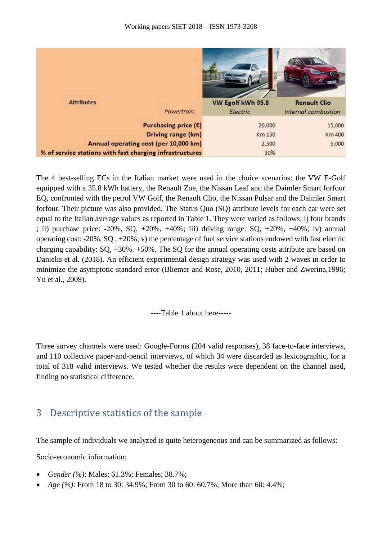

The 4 best-selling ECs in the Italian market were used in the choice scenarios: the VW E-Golf equipped with a 35.8 kWh battery, the Renault Zoe, the Nissan Leaf and the Daimler Smart forfour EQ, confronted with the petrol VW Golf, the Renault Clio, the Nissan Pulsar and the Daimler Smart forfour. Their picture was also provided. The Status Quo (SQ) attribute levels for each car were set equal to the Italian average values as reported in Table 1. They were varied as follows: i) four brands ; ii) purchase price: -20%, SQ, +20%, +40%; iii) driving range: SQ, +20%, +40%; iv) annual operating cost: -20%, SQ , +20%; v) the percentage of fuel service stations endowed with fast electric charging capability: SQ, +30%. +50%. The SQ for the annual operating costs attribute are based on Danielis et al. (2018). An efficient experimental design strategy was used with 2 waves in order to minimize the asymptotic standard error (Bliemer and Rose, 2010, 2011; Huber and Zwerina,1996; Yu et al., 2009).

----Table 1 about here-----

Three survey channels were used: Google-Forms (204 valid responses), 38 face-to-face interviews, and 110 collective paper-and-pencil interviews, of which 34 were discarded as lexicographic, for a total of 318 valid interviews. We tested whether the results were dependent on the channel used, finding no statistical difference.

### 3 Descriptive statistics of the sample

The sample of individuals we analyzed is quite heterogeneous and can be summarized as follows:

Socio-economic information:

- *Gender (%)*: Males; 61.3%; Females; 38.7%;
- *Age (%)*: From 18 to 30: 34.9%; From 30 to 60: 60.7%; More than 60: 4.4%;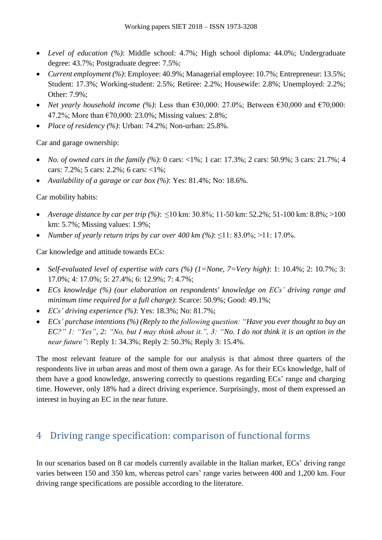- *Level of education (%)*: Middle school: 4.7%; High school diploma: 44.0%; Undergraduate degree: 43.7%; Postgraduate degree: 7.5%;
- *Current employment (%)*: Employee: 40.9%; Managerial employee: 10.7%; Entrepreneur: 13.5%; Student: 17.3%; Working-student: 2.5%; Retiree: 2.2%; Housewife: 2.8%; Unemployed: 2.2%; Other: 7.9%;
- *Net yearly household income (%)*: Less than  $€30,000$ : 27.0%; Between  $€30,000$  and  $€70,000$ : 47.2%; More than €70,000: 23.0%; Missing values: 2.8%;
- *Place of residency (%)*: Urban: 74.2%; Non-urban: 25.8%.

Car and garage ownership:

- *No. of owned cars in the family (%)*: 0 cars: <1%; 1 car: 17.3%; 2 cars: 50.9%; 3 cars: 21.7%; 4 cars: 7.2%; 5 cars: 2.2%; 6 cars: <1%;
- *Availability of a garage or car box (%)*: Yes: 81.4%; No: 18.6%.

### Car mobility habits:

- *Average distance by car per trip (%)*: ≤10 km: 30.8%; 11-50 km: 52.2%; 51-100 km: 8.8%; >100 km: 5.7%; Missing values: 1.9%;
- *Number of yearly return trips by car over 400 km (%)*: ≤11: 83.0%; >11: 17.0%.

Car knowledge and attitude towards ECs:

- *Self-evaluated level of expertise with cars (%) (1=None, 7=Very high)*: 1: 10.4%; 2: 10.7%; 3: 17.0%; 4: 17.0%; 5: 27.4%; 6: 12.9%; 7: 4.7%;
- *ECs knowledge (%) (our elaboration on respondents' knowledge on ECs' driving range and minimum time required for a full charge)*: Scarce: 50.9%; Good: 49.1%;
- *ECs' driving experience (%)*: Yes: 18.3%; No: 81.7%;
- *ECs' purchase intentions (%) (Reply to the following question: "Have you ever thought to buy an EC?" 1: "Yes", 2: "No, but I may think about it.", 3: "No. I do not think it is an option in the near future"*: Reply 1: 34.3%; Reply 2: 50.3%; Reply 3: 15.4%.

The most relevant feature of the sample for our analysis is that almost three quarters of the respondents live in urban areas and most of them own a garage. As for their ECs knowledge, half of them have a good knowledge, answering correctly to questions regarding ECs' range and charging time. However, only 18% had a direct driving experience. Surprisingly, most of them expressed an interest in buying an EC in the near future.

## 4 Driving range specification: comparison of functional forms

In our scenarios based on 8 car models currently available in the Italian market, ECs' driving range varies between 150 and 350 km, whereas petrol cars' range varies between 400 and 1,200 km. Four driving range specifications are possible according to the literature.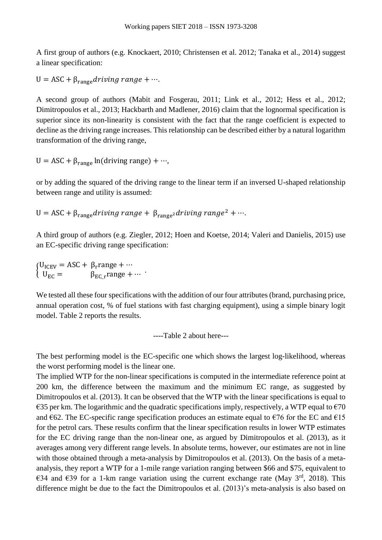A first group of authors (e.g. Knockaert, 2010; Christensen et al. 2012; Tanaka et al., 2014) suggest a linear specification:

 $U = ASC + \beta_{range}$ driving range + ….

A second group of authors (Mabit and Fosgerau, 2011; Link et al., 2012; Hess et al., 2012; Dimitropoulos et al., 2013; Hackbarth and Madlener, 2016) claim that the lognormal specification is superior since its non-linearity is consistent with the fact that the range coefficient is expected to decline as the driving range increases. This relationship can be described either by a natural logarithm transformation of the driving range,

U = ASC +  $\beta_{range}$  ln(driving range) + …,

or by adding the squared of the driving range to the linear term if an inversed U-shaped relationship between range and utility is assumed:

U = ASC +  $\beta_{range}$  driving range +  $\beta_{range^2}$  driving range<sup>2</sup> + ….

A third group of authors (e.g. Ziegler, 2012; Hoen and Koetse, 2014; Valeri and Danielis, 2015) use an EC-specific driving range specification:

 $\int_{U} U_{\text{ICEV}} = \text{ASC} + \beta_{\text{r}} \text{range} + \cdots$  $U_{EC} = \beta_{EC_r}$ range + …

We tested all these four specifications with the addition of our four attributes (brand, purchasing price, annual operation cost, % of fuel stations with fast charging equipment), using a simple binary logit model. Table 2 reports the results.

----Table 2 about here---

The best performing model is the EC-specific one which shows the largest log-likelihood, whereas the worst performing model is the linear one.

The implied WTP for the non-linear specifications is computed in the intermediate reference point at 200 km, the difference between the maximum and the minimum EC range, as suggested by Dimitropoulos et al. (2013). It can be observed that the WTP with the linear specifications is equal to  $\epsilon$ 35 per km. The logarithmic and the quadratic specifications imply, respectively, a WTP equal to  $\epsilon$ 70 and  $\epsilon$ 62. The EC-specific range specification produces an estimate equal to  $\epsilon$ 76 for the EC and  $\epsilon$ 15 for the petrol cars. These results confirm that the linear specification results in lower WTP estimates for the EC driving range than the non-linear one, as argued by Dimitropoulos et al. (2013), as it averages among very different range levels. In absolute terms, however, our estimates are not in line with those obtained through a meta-analysis by Dimitropoulos et al. (2013). On the basis of a metaanalysis, they report a WTP for a 1-mile range variation ranging between \$66 and \$75, equivalent to €34 and €39 for a 1-km range variation using the current exchange rate (May  $3<sup>rd</sup>$ , 2018). This difference might be due to the fact the Dimitropoulos et al. (2013)'s meta-analysis is also based on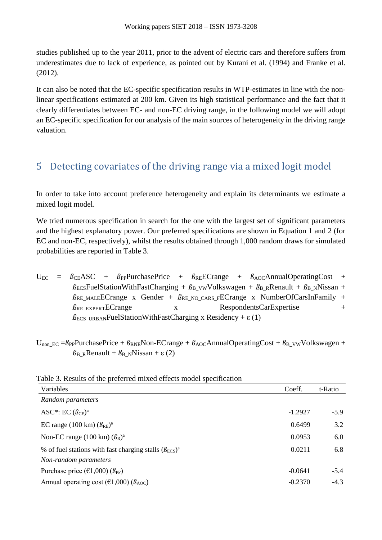studies published up to the year 2011, prior to the advent of electric cars and therefore suffers from underestimates due to lack of experience, as pointed out by Kurani et al. (1994) and Franke et al. (2012).

It can also be noted that the EC-specific specification results in WTP-estimates in line with the nonlinear specifications estimated at 200 km. Given its high statistical performance and the fact that it clearly differentiates between EC- and non-EC driving range, in the following model we will adopt an EC-specific specification for our analysis of the main sources of heterogeneity in the driving range valuation.

## 5 Detecting covariates of the driving range via a mixed logit model

In order to take into account preference heterogeneity and explain its determinants we estimate a mixed logit model.

We tried numerous specification in search for the one with the largest set of significant parameters and the highest explanatory power. Our preferred specifications are shown in Equation 1 and 2 (for EC and non-EC, respectively), whilst the results obtained through 1,000 random draws for simulated probabilities are reported in Table 3.

- $U_{EC}$  =  $\beta_{CE}$ ASC +  $\beta_{PP}$ PurchasePrice +  $\beta_{RE}$ ECrange +  $\beta_{AOC}$ AnnualOperatingCost +  $\beta$ ECSFuelStationWithFastCharging +  $\beta_B$  vwVolkswagen +  $\beta_B$ <sub>R</sub>Renault +  $\beta_B$ <sub>N</sub>Nissan +  $\beta_{RE\_MALE}$ ECrange x Gender +  $\beta_{RE\_NO\_CARS\_F}$ ECrange x NumberOfCarsInFamily +  $\beta$ RE EXPERTECTANGE X RespondentsCarExpertise +  $\beta$ <sub>ECS</sub> URBANFuelStationWithFastCharging x Residency +  $\varepsilon$  (1)
- $U_{\text{non EC}} = \beta_{PP}$ PurchasePrice +  $\beta_{RNE}$ Non-ECrange +  $\beta_{AOC}$ AnnualOperatingCost +  $\beta_B$ <sub>VW</sub>Volkswagen +  $\beta_{\text{B\_R}}$ Renault +  $\beta_{\text{B\_N}}$ Nissan + ε (2)

| Variables                                                             | Coeff.    | t-Ratio |
|-----------------------------------------------------------------------|-----------|---------|
| Random parameters                                                     |           |         |
| ASC*: EC $(\beta_{CE})^a$                                             | $-1.2927$ | $-5.9$  |
| EC range (100 km) $(\beta_{RE})^a$                                    | 0.6499    | 3.2     |
| Non-EC range (100 km) $(\beta_R)^a$                                   | 0.0953    | 6.0     |
| % of fuel stations with fast charging stalls $(\beta_{\text{ECS}})^a$ | 0.0211    | 6.8     |
| Non-random parameters                                                 |           |         |
| Purchase price ( $\epsilon$ 1,000) ( $\beta_{PP}$ )                   | $-0.0641$ | $-5.4$  |
| Annual operating cost ( $\epsilon$ 1,000) ( $\beta$ <sub>AOC</sub> )  | $-0.2370$ | $-4.3$  |

#### Table 3. Results of the preferred mixed effects model specification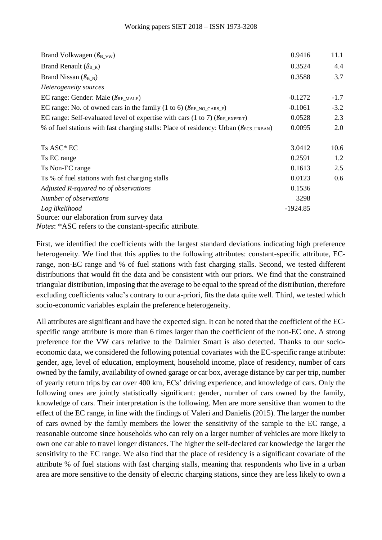| Brand Volkwagen $(\beta_{B_VW})$                                                                        | 0.9416     | 11.1   |
|---------------------------------------------------------------------------------------------------------|------------|--------|
| Brand Renault $(\beta_{B_R})$                                                                           | 0.3524     | 4.4    |
| Brand Nissan ( $\beta_{\rm B}$ <sub>N</sub> )                                                           | 0.3588     | 3.7    |
| Heterogeneity sources                                                                                   |            |        |
| EC range: Gender: Male $(\beta_{RE\_MALE})$                                                             | $-0.1272$  | $-1.7$ |
| EC range: No. of owned cars in the family (1 to 6) ( $\beta_{RE\_NO\_CARS\_F}$ )                        | $-0.1061$  | $-3.2$ |
| EC range: Self-evaluated level of expertise with cars (1 to 7) ( $\beta_{RE\_EXPERT}$ )                 | 0.0528     | 2.3    |
| % of fuel stations with fast charging stalls: Place of residency: Urban ( $\beta$ <sub>ECS</sub> URBAN) | 0.0095     | 2.0    |
| Ts ASC* EC                                                                                              | 3.0412     | 10.6   |
| Ts EC range                                                                                             | 0.2591     | 1.2    |
| Ts Non-EC range                                                                                         | 0.1613     | 2.5    |
| Ts % of fuel stations with fast charging stalls                                                         | 0.0123     | 0.6    |
| Adjusted R-squared no of observations                                                                   | 0.1536     |        |
| Number of observations                                                                                  | 3298       |        |
| Log likelihood                                                                                          | $-1924.85$ |        |

Source: our elaboration from survey data

*Notes*: \*ASC refers to the constant-specific attribute.

First, we identified the coefficients with the largest standard deviations indicating high preference heterogeneity. We find that this applies to the following attributes: constant-specific attribute, ECrange, non-EC range and % of fuel stations with fast charging stalls. Second, we tested different distributions that would fit the data and be consistent with our priors. We find that the constrained triangular distribution, imposing that the average to be equal to the spread of the distribution, therefore excluding coefficients value's contrary to our a-priori, fits the data quite well. Third, we tested which socio-economic variables explain the preference heterogeneity.

All attributes are significant and have the expected sign. It can be noted that the coefficient of the ECspecific range attribute is more than 6 times larger than the coefficient of the non-EC one. A strong preference for the VW cars relative to the Daimler Smart is also detected. Thanks to our socioeconomic data, we considered the following potential covariates with the EC-specific range attribute: gender, age, level of education, employment, household income, place of residency, number of cars owned by the family, availability of owned garage or car box, average distance by car per trip, number of yearly return trips by car over 400 km, ECs' driving experience, and knowledge of cars. Only the following ones are jointly statistically significant: gender, number of cars owned by the family, knowledge of cars. Their interpretation is the following. Men are more sensitive than women to the effect of the EC range, in line with the findings of Valeri and Danielis (2015). The larger the number of cars owned by the family members the lower the sensitivity of the sample to the EC range, a reasonable outcome since households who can rely on a larger number of vehicles are more likely to own one car able to travel longer distances. The higher the self-declared car knowledge the larger the sensitivity to the EC range. We also find that the place of residency is a significant covariate of the attribute % of fuel stations with fast charging stalls, meaning that respondents who live in a urban area are more sensitive to the density of electric charging stations, since they are less likely to own a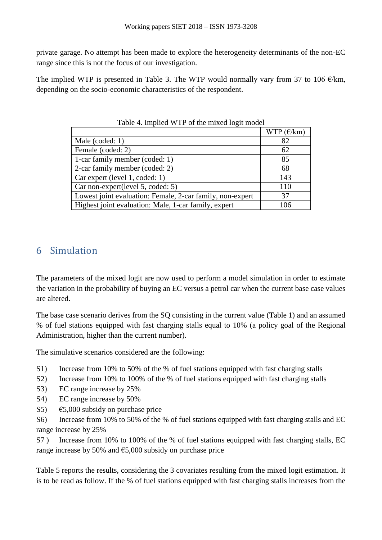private garage. No attempt has been made to explore the heterogeneity determinants of the non-EC range since this is not the focus of our investigation.

The implied WTP is presented in Table 3. The WTP would normally vary from 37 to 106  $\epsilon$ /km, depending on the socio-economic characteristics of the respondent.

| $\ldots$ million $\ldots$ is a set of the million form of $\ldots$ |                     |  |  |  |  |
|--------------------------------------------------------------------|---------------------|--|--|--|--|
|                                                                    | WTP $(\epsilon/km)$ |  |  |  |  |
| Male (coded: 1)                                                    | 82                  |  |  |  |  |
| Female (coded: 2)                                                  | 62                  |  |  |  |  |
| 1-car family member (coded: 1)                                     | 85                  |  |  |  |  |
| 2-car family member (coded: 2)                                     | 68                  |  |  |  |  |
| Car expert (level 1, coded: 1)                                     | 143                 |  |  |  |  |
| Car non-expert(level 5, coded: 5)                                  | 110                 |  |  |  |  |
| Lowest joint evaluation: Female, 2-car family, non-expert          | 37                  |  |  |  |  |
| Highest joint evaluation: Male, 1-car family, expert               | 106                 |  |  |  |  |

Table 4. Implied WTP of the mixed logit model

## 6 Simulation

The parameters of the mixed logit are now used to perform a model simulation in order to estimate the variation in the probability of buying an EC versus a petrol car when the current base case values are altered.

The base case scenario derives from the SQ consisting in the current value (Table 1) and an assumed % of fuel stations equipped with fast charging stalls equal to 10% (a policy goal of the Regional Administration, higher than the current number).

The simulative scenarios considered are the following:

- S1) Increase from 10% to 50% of the % of fuel stations equipped with fast charging stalls
- S2) Increase from 10% to 100% of the % of fuel stations equipped with fast charging stalls
- S3) EC range increase by 25%
- S4) EC range increase by 50%
- S5)  $\epsilon$ 5,000 subsidy on purchase price

S6) Increase from 10% to 50% of the % of fuel stations equipped with fast charging stalls and EC range increase by 25%

S7 ) Increase from 10% to 100% of the % of fuel stations equipped with fast charging stalls, EC range increase by 50% and  $\epsilon$ 5,000 subsidy on purchase price

Table 5 reports the results, considering the 3 covariates resulting from the mixed logit estimation. It is to be read as follow. If the % of fuel stations equipped with fast charging stalls increases from the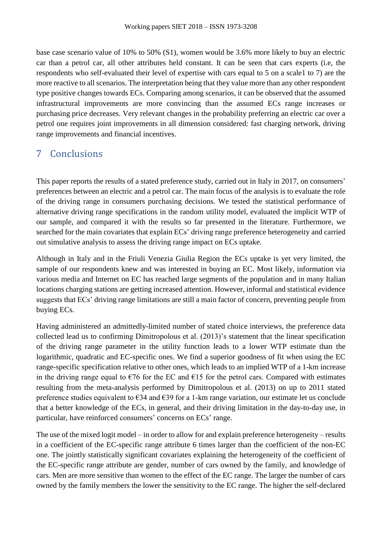base case scenario value of 10% to 50% (S1), women would be 3.6% more likely to buy an electric car than a petrol car, all other attributes held constant. It can be seen that cars experts (i.e, the respondents who self-evaluated their level of expertise with cars equal to 5 on a scale1 to 7) are the more reactive to all scenarios. The interpretation being that they value more than any other respondent type positive changes towards ECs. Comparing among scenarios, it can be observed that the assumed infrastructural improvements are more convincing than the assumed ECs range increases or purchasing price decreases. Very relevant changes in the probability preferring an electric car over a petrol one requires joint improvements in all dimension considered: fast charging network, driving range improvements and financial incentives.

# 7 Conclusions

This paper reports the results of a stated preference study, carried out in Italy in 2017, on consumers' preferences between an electric and a petrol car. The main focus of the analysis is to evaluate the role of the driving range in consumers purchasing decisions. We tested the statistical performance of alternative driving range specifications in the random utility model, evaluated the implicit WTP of our sample, and compared it with the results so far presented in the literature. Furthermore, we searched for the main covariates that explain ECs' driving range preference heterogeneity and carried out simulative analysis to assess the driving range impact on ECs uptake.

Although in Italy and in the Friuli Venezia Giulia Region the ECs uptake is yet very limited, the sample of our respondents knew and was interested in buying an EC. Most likely, information via various media and Internet on EC has reached large segments of the population and in many Italian locations charging stations are getting increased attention. However, informal and statistical evidence suggests that ECs' driving range limitations are still a main factor of concern, preventing people from buying ECs.

Having administered an admittedly-limited number of stated choice interviews, the preference data collected lead us to confirming Dimitropolous et al. (2013)'s statement that the linear specification of the driving range parameter in the utility function leads to a lower WTP estimate than the logarithmic, quadratic and EC-specific ones. We find a superior goodness of fit when using the EC range-specific specification relative to other ones, which leads to an implied WTP of a 1-km increase in the driving range equal to  $\epsilon$ 76 for the EC and  $\epsilon$ 15 for the petrol cars. Compared with estimates resulting from the meta-analysis performed by Dimitropolous et al. (2013) on up to 2011 stated preference studies equivalent to €34 and €39 for a 1-km range variation, our estimate let us conclude that a better knowledge of the ECs, in general, and their driving limitation in the day-to-day use, in particular, have reinforced consumers' concerns on ECs' range.

The use of the mixed logit model – in order to allow for and explain preference heterogeneity – results in a coefficient of the EC-specific range attribute 6 times larger than the coefficient of the non-EC one. The jointly statistically significant covariates explaining the heterogeneity of the coefficient of the EC-specific range attribute are gender, number of cars owned by the family, and knowledge of cars. Men are more sensitive than women to the effect of the EC range. The larger the number of cars owned by the family members the lower the sensitivity to the EC range. The higher the self-declared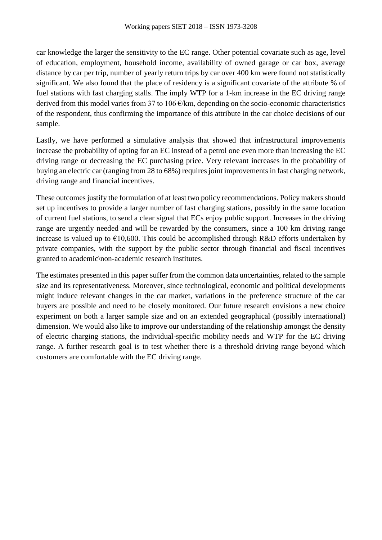car knowledge the larger the sensitivity to the EC range. Other potential covariate such as age, level of education, employment, household income, availability of owned garage or car box, average distance by car per trip, number of yearly return trips by car over 400 km were found not statistically significant. We also found that the place of residency is a significant covariate of the attribute % of fuel stations with fast charging stalls. The imply WTP for a 1-km increase in the EC driving range derived from this model varies from 37 to 106  $\epsilon$ /km, depending on the socio-economic characteristics of the respondent, thus confirming the importance of this attribute in the car choice decisions of our sample.

Lastly, we have performed a simulative analysis that showed that infrastructural improvements increase the probability of opting for an EC instead of a petrol one even more than increasing the EC driving range or decreasing the EC purchasing price. Very relevant increases in the probability of buying an electric car (ranging from 28 to 68%) requires joint improvements in fast charging network, driving range and financial incentives.

These outcomes justify the formulation of at least two policy recommendations. Policy makers should set up incentives to provide a larger number of fast charging stations, possibly in the same location of current fuel stations, to send a clear signal that ECs enjoy public support. Increases in the driving range are urgently needed and will be rewarded by the consumers, since a 100 km driving range increase is valued up to  $\epsilon$ 10,600. This could be accomplished through R&D efforts undertaken by private companies, with the support by the public sector through financial and fiscal incentives granted to academic\non-academic research institutes.

The estimates presented in this paper suffer from the common data uncertainties, related to the sample size and its representativeness. Moreover, since technological, economic and political developments might induce relevant changes in the car market, variations in the preference structure of the car buyers are possible and need to be closely monitored. Our future research envisions a new choice experiment on both a larger sample size and on an extended geographical (possibly international) dimension. We would also like to improve our understanding of the relationship amongst the density of electric charging stations, the individual-specific mobility needs and WTP for the EC driving range. A further research goal is to test whether there is a threshold driving range beyond which customers are comfortable with the EC driving range.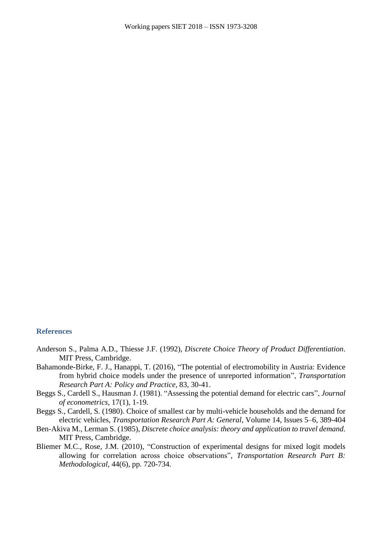#### **References**

- Anderson S., Palma A.D., Thiesse J.F. (1992), *Discrete Choice Theory of Product Differentiation*. MIT Press, Cambridge.
- Bahamonde-Birke, F. J., Hanappi, T. (2016), "The potential of electromobility in Austria: Evidence from hybrid choice models under the presence of unreported information", *Transportation Research Part A: Policy and Practice*, 83, 30-41.
- Beggs S., Cardell S., Hausman J. (1981). "Assessing the potential demand for electric cars", *Journal of econometrics*, 17(1), 1-19.
- Beggs S., Cardell, S. (1980). Choice of smallest car by multi-vehicle households and the demand for electric vehicles, *Transportation Research Part A: General*, Volume 14, Issues 5–6, 389-404
- Ben-Akiva M., Lerman S. (1985), *Discrete choice analysis: theory and application to travel demand*. MIT Press, Cambridge.
- Bliemer M.C., Rose, J.M. (2010), "Construction of experimental designs for mixed logit models allowing for correlation across choice observations", *Transportation Research Part B: Methodological*, 44(6), pp. 720-734.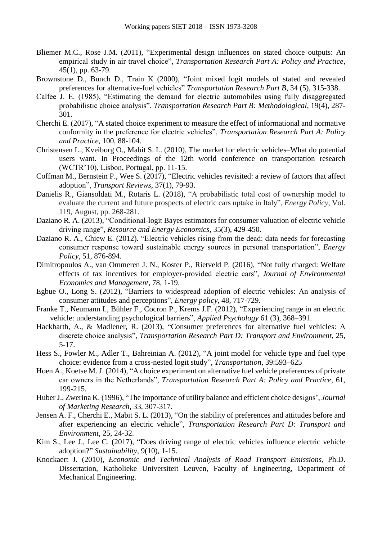- Bliemer M.C., Rose J.M. (2011), "Experimental design influences on stated choice outputs: An empirical study in air travel choice", *Transportation Research Part A: Policy and Practice*, 45(1), pp. 63-79.
- Brownstone D., Bunch D., Train K (2000), "Joint mixed logit models of stated and revealed preferences for alternative-fuel vehicles" *Transportation Research Part B*, 34 (5), 315-338.
- Calfee J. E. (1985), "Estimating the demand for electric automobiles using fully disaggregated probabilistic choice analysis". *Transportation Research Part B: Methodological*, 19(4), 287- 301.
- Cherchi E. (2017), "A stated choice experiment to measure the effect of informational and normative conformity in the preference for electric vehicles", *Transportation Research Part A: Policy and Practice*, 100, 88-104.
- Christensen L., Kveiborg O., Mabit S. L. (2010), The market for electric vehicles–What do potential users want. In Proceedings of the 12th world conference on transportation research (WCTR'10), Lisbon, Portugal, pp. 11-15.
- Coffman M., Bernstein P., Wee S. (2017), "Electric vehicles revisited: a review of factors that affect adoption", *Transport Reviews*, 37(1), 79-93.
- Danielis R., Giansoldati M., Rotaris L. (2018), "A probabilistic total cost of ownership model to evaluate the current and future prospects of electric cars uptake in Italy", *Energy Policy*, Vol. 119, August, pp. 268-281.
- Daziano R. A. (2013), "Conditional-logit Bayes estimators for consumer valuation of electric vehicle driving range", *Resource and Energy Economics*, 35(3), 429-450.
- Daziano R. A., Chiew E. (2012). "Electric vehicles rising from the dead: data needs for forecasting consumer response toward sustainable energy sources in personal transportation", *Energy Policy*, 51, 876-894.
- Dimitropoulos A., van Ommeren J. N., Koster P., Rietveld P. (2016), "Not fully charged: Welfare effects of tax incentives for employer-provided electric cars", *Journal of Environmental Economics and Management*, 78, 1-19.
- Egbue O., Long S. (2012), "Barriers to widespread adoption of electric vehicles: An analysis of consumer attitudes and perceptions", *Energy policy*, 48, 717-729.
- Franke T., Neumann I., Bühler F., Cocron P., Krems J.F. (2012), "Experiencing range in an electric vehicle: understanding psychological barriers", *Applied Psychology* 61 (3), 368–391.
- Hackbarth, A., & Madlener, R. (2013), "Consumer preferences for alternative fuel vehicles: A discrete choice analysis", *Transportation Research Part D: Transport and Environment*, 25, 5-17.
- Hess S., Fowler M., Adler T., Bahreinian A. (2012), "A joint model for vehicle type and fuel type choice: evidence from a cross-nested logit study", *Transportation*, 39:593–625
- Hoen A., Koetse M. J. (2014), "A choice experiment on alternative fuel vehicle preferences of private car owners in the Netherlands", *Transportation Research Part A: Policy and Practice*, 61, 199-215.
- Huber J., Zwerina K. (1996), "The importance of utility balance and efficient choice designs', *Journal of Marketing Research*, 33, 307-317.
- Jensen A. F., Cherchi E., Mabit S. L. (2013), "On the stability of preferences and attitudes before and after experiencing an electric vehicle", *Transportation Research Part D: Transport and Environment*, 25, 24-32.
- Kim S., Lee J., Lee C. (2017), "Does driving range of electric vehicles influence electric vehicle adoption?" *Sustainability*, 9(10), 1-15.
- Knockaert J. (2010), *Economic and Technical Analysis of Road Transport Emissions*, Ph.D. Dissertation, Katholieke Universiteit Leuven, Faculty of Engineering, Department of Mechanical Engineering.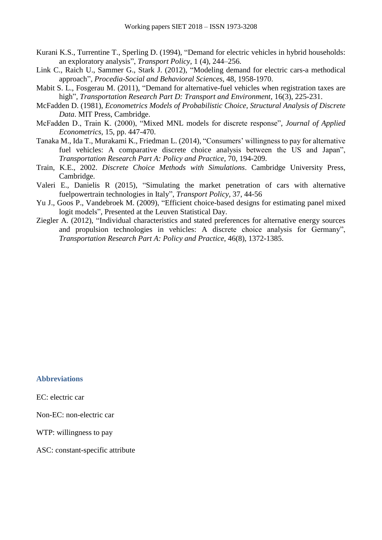- Kurani K.S., Turrentine T., Sperling D. (1994), "Demand for electric vehicles in hybrid households: an exploratory analysis", *Transport Policy*, 1 (4), 244–256.
- Link C., Raich U., Sammer G., Stark J. (2012), "Modeling demand for electric cars-a methodical approach", *Procedia-Social and Behavioral Sciences*, 48, 1958-1970.
- Mabit S. L., Fosgerau M. (2011), "Demand for alternative-fuel vehicles when registration taxes are high", *Transportation Research Part D: Transport and Environment*, 16(3), 225-231.
- McFadden D. (1981), *Econometrics Models of Probabilistic Choice, Structural Analysis of Discrete Data*. MIT Press, Cambridge.
- McFadden D., Train K. (2000), "Mixed MNL models for discrete response", *Journal of Applied Econometrics*, 15, pp. 447-470.
- Tanaka M., Ida T., Murakami K., Friedman L. (2014), "Consumers' willingness to pay for alternative fuel vehicles: A comparative discrete choice analysis between the US and Japan", *Transportation Research Part A: Policy and Practice*, 70, 194-209.
- Train, K.E., 2002. *Discrete Choice Methods with Simulations*. Cambridge University Press, Cambridge.
- Valeri E., Danielis R (2015), "Simulating the market penetration of cars with alternative fuelpowertrain technologies in Italy", *Transport Policy*, 37, 44-56
- Yu J., Goos P., Vandebroek M. (2009), "Efficient choice-based designs for estimating panel mixed logit models", Presented at the Leuven Statistical Day.
- Ziegler A. (2012), "Individual characteristics and stated preferences for alternative energy sources and propulsion technologies in vehicles: A discrete choice analysis for Germany", *Transportation Research Part A: Policy and Practice*, 46(8), 1372-1385.

#### **Abbreviations**

EC: electric car

Non-EC: non-electric car

WTP: willingness to pay

ASC: constant-specific attribute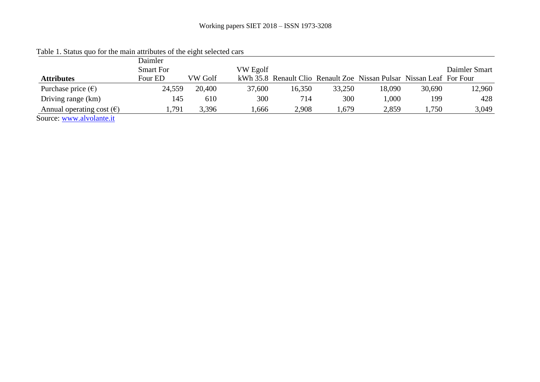|                                    | Daimler          | $\overline{\phantom{0}}$ |          |        |        |                                                                      |        |               |
|------------------------------------|------------------|--------------------------|----------|--------|--------|----------------------------------------------------------------------|--------|---------------|
|                                    | <b>Smart For</b> |                          | VW Egolf |        |        |                                                                      |        | Daimler Smart |
| <b>Attributes</b>                  | Four ED          | VW Golf                  |          |        |        | kWh 35.8 Renault Clio Renault Zoe Nissan Pulsar Nissan Leaf For Four |        |               |
| Purchase price $(\epsilon)$        | 24,559           | 20,400                   | 37,600   | 16,350 | 33,250 | 18,090                                                               | 30,690 | 12,960        |
| Driving range (km)                 | 145              | 610                      | 300      | 714    | 300    | 1,000                                                                | 199    | 428           |
| Annual operating cost $(\epsilon)$ | .791             | 3,396                    | .666     | 2,908  | .,679  | 2,859                                                                | 1,750  | 3,049         |
| Source: www.alvolante.it           |                  |                          |          |        |        |                                                                      |        |               |

Table 1. Status quo for the main attributes of the eight selected cars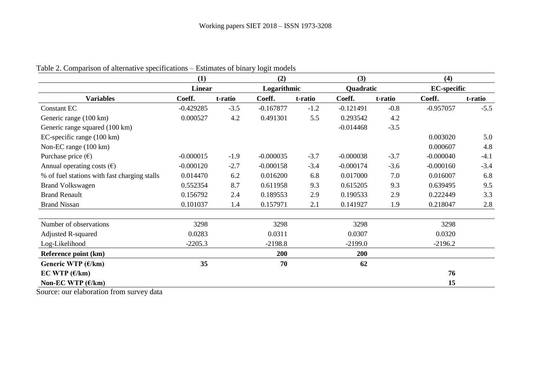|                                              | (1)<br><b>Linear</b> |         | (2)<br>Logarithmic |         | (3)         |         | (4)                |         |  |
|----------------------------------------------|----------------------|---------|--------------------|---------|-------------|---------|--------------------|---------|--|
|                                              |                      |         |                    |         | Quadratic   |         | <b>EC-specific</b> |         |  |
| <b>Variables</b>                             | Coeff.               | t-ratio | Coeff.             | t-ratio | Coeff.      | t-ratio | Coeff.             | t-ratio |  |
| <b>Constant EC</b>                           | $-0.429285$          | $-3.5$  | $-0.167877$        | $-1.2$  | $-0.121491$ | $-0.8$  | $-0.957057$        | $-5.5$  |  |
| Generic range (100 km)                       | 0.000527             | 4.2     | 0.491301           | 5.5     | 0.293542    | 4.2     |                    |         |  |
| Generic range squared (100 km)               |                      |         |                    |         | $-0.014468$ | $-3.5$  |                    |         |  |
| EC-specific range (100 km)                   |                      |         |                    |         |             |         | 0.003020           | 5.0     |  |
| Non-EC range (100 km)                        |                      |         |                    |         |             |         | 0.000607           | 4.8     |  |
| Purchase price $(\epsilon)$                  | $-0.000015$          | $-1.9$  | $-0.000035$        | $-3.7$  | $-0.000038$ | $-3.7$  | $-0.000040$        | $-4.1$  |  |
| Annual operating costs $(\epsilon)$          | $-0.000120$          | $-2.7$  | $-0.000158$        | $-3.4$  | $-0.000174$ | $-3.6$  | $-0.000160$        | $-3.4$  |  |
| % of fuel stations with fast charging stalls | 0.014470             | 6.2     | 0.016200           | 6.8     | 0.017000    | 7.0     | 0.016007           | 6.8     |  |
| <b>Brand Volkswagen</b>                      | 0.552354             | 8.7     | 0.611958           | 9.3     | 0.615205    | 9.3     | 0.639495           | 9.5     |  |
| <b>Brand Renault</b>                         | 0.156792             | 2.4     | 0.189553           | 2.9     | 0.190533    | 2.9     | 0.222449           | 3.3     |  |
| <b>Brand Nissan</b>                          | 0.101037             | 1.4     | 0.157971           | 2.1     | 0.141927    | 1.9     | 0.218047           | 2.8     |  |
| Number of observations                       | 3298                 |         | 3298               |         | 3298        |         | 3298               |         |  |
| <b>Adjusted R-squared</b>                    | 0.0283               |         | 0.0311             |         | 0.0307      |         | 0.0320             |         |  |
| Log-Likelihood                               | $-2205.3$            |         | $-2198.8$          |         | $-2199.0$   |         | $-2196.2$          |         |  |
| Reference point (km)                         |                      |         | 200                |         | 200         |         |                    |         |  |
| Generic WTP $(E/km)$                         | 35                   |         | 70                 |         | 62          |         |                    |         |  |
| EC WTP $(\epsilon/km)$                       |                      |         |                    |         |             |         | 76                 |         |  |
| Non-EC WTP $(\epsilon/km)$                   |                      |         |                    |         |             |         | 15                 |         |  |

### Table 2. Comparison of alternative specifications – Estimates of binary logit models

Source: our elaboration from survey data